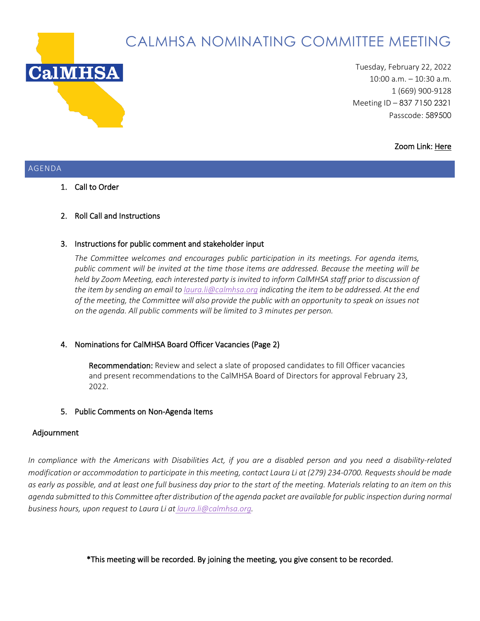

# CALMHSA NOMINATING COMMITTEE MEETING

Tuesday, February 22, 2022 10:00 a.m. – 10:30 a.m. 1 (669) 900-9128 Meeting ID – 837 7150 2321 Passcode: 589500

#### Zoom Link[: Here](https://us02web.zoom.us/j/83771502321?pwd=dHF5YUxCQ2VLS0JWeHdESktadjFuUT09)

#### AGENDA

1. Call to Order

## 2. Roll Call and Instructions

#### 3. Instructions for public comment and stakeholder input

*The Committee welcomes and encourages public participation in its meetings. For agenda items, public comment will be invited at the time those items are addressed. Because the meeting will be held by Zoom Meeting, each interested party is invited to inform CalMHSA staff prior to discussion of the item by sending an email to [laura.li@calmhsa.org](mailto:laura.li@calmhsa.org) indicating the item to be addressed. At the end of the meeting, the Committee will also provide the public with an opportunity to speak on issues not on the agenda. All public comments will be limited to 3 minutes per person.*

#### 4. Nominations for CalMHSA Board Officer Vacancies (Page 2)

Recommendation: Review and select a slate of proposed candidates to fill Officer vacancies and present recommendations to the CalMHSA Board of Directors for approval February 23, 2022.

#### 5. Public Comments on Non-Agenda Items

## Adjournment

*In compliance with the Americans with Disabilities Act, if you are a disabled person and you need a disability-related modification or accommodation to participate in this meeting, contact Laura Li at (279) 234-0700. Requests should be made as early as possible, and at least one full business day prior to the start of the meeting. Materials relating to an item on this agenda submitted to this Committee after distribution of the agenda packet are available for public inspection during normal business hours, upon request to Laura Li at laura.li@calmhsa.org.*

\*This meeting will be recorded. By joining the meeting, you give consent to be recorded.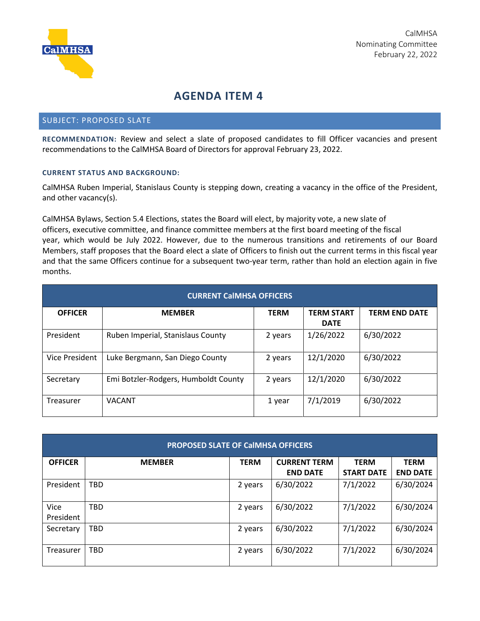

# **AGENDA ITEM 4**

#### SUBJECT: PROPOSED SLATE

**RECOMMENDATION:** Review and select a slate of proposed candidates to fill Officer vacancies and present recommendations to the CalMHSA Board of Directors for approval February 23, 2022.

#### **CURRENT STATUS AND BACKGROUND:**

CalMHSA Ruben Imperial, Stanislaus County is stepping down, creating a vacancy in the office of the President, and other vacancy(s).

CalMHSA Bylaws, Section 5.4 Elections, states the Board will elect, by majority vote, a new slate of officers, executive committee, and finance committee members at the first board meeting of the fiscal year, which would be July 2022. However, due to the numerous transitions and retirements of our Board Members, staff proposes that the Board elect a slate of Officers to finish out the current terms in this fiscal year and that the same Officers continue for a subsequent two-year term, rather than hold an election again in five months.

| <b>CURRENT CalMHSA OFFICERS</b> |                                      |             |                                  |                      |  |  |  |  |
|---------------------------------|--------------------------------------|-------------|----------------------------------|----------------------|--|--|--|--|
| <b>OFFICER</b>                  | <b>MEMBER</b>                        | <b>TERM</b> | <b>TERM START</b><br><b>DATE</b> | <b>TERM END DATE</b> |  |  |  |  |
| President                       | Ruben Imperial, Stanislaus County    | 2 years     | 1/26/2022                        | 6/30/2022            |  |  |  |  |
| <b>Vice President</b>           | Luke Bergmann, San Diego County      | 2 years     | 12/1/2020                        | 6/30/2022            |  |  |  |  |
| Secretary                       | Emi Botzler-Rodgers, Humboldt County | 2 years     | 12/1/2020                        | 6/30/2022            |  |  |  |  |
| Treasurer                       | <b>VACANT</b>                        | 1 year      | 7/1/2019                         | 6/30/2022            |  |  |  |  |

| <b>PROPOSED SLATE OF CalMHSA OFFICERS</b> |               |             |                                        |                                  |                                |  |  |  |  |
|-------------------------------------------|---------------|-------------|----------------------------------------|----------------------------------|--------------------------------|--|--|--|--|
| <b>OFFICER</b>                            | <b>MEMBER</b> | <b>TERM</b> | <b>CURRENT TERM</b><br><b>END DATE</b> | <b>TERM</b><br><b>START DATE</b> | <b>TERM</b><br><b>END DATE</b> |  |  |  |  |
| President                                 | <b>TBD</b>    | 2 years     | 6/30/2022                              | 7/1/2022                         | 6/30/2024                      |  |  |  |  |
| Vice<br>President                         | <b>TBD</b>    | 2 years     | 6/30/2022                              | 7/1/2022                         | 6/30/2024                      |  |  |  |  |
| Secretary                                 | <b>TBD</b>    | 2 years     | 6/30/2022                              | 7/1/2022                         | 6/30/2024                      |  |  |  |  |
| Treasurer                                 | <b>TBD</b>    | 2 years     | 6/30/2022                              | 7/1/2022                         | 6/30/2024                      |  |  |  |  |